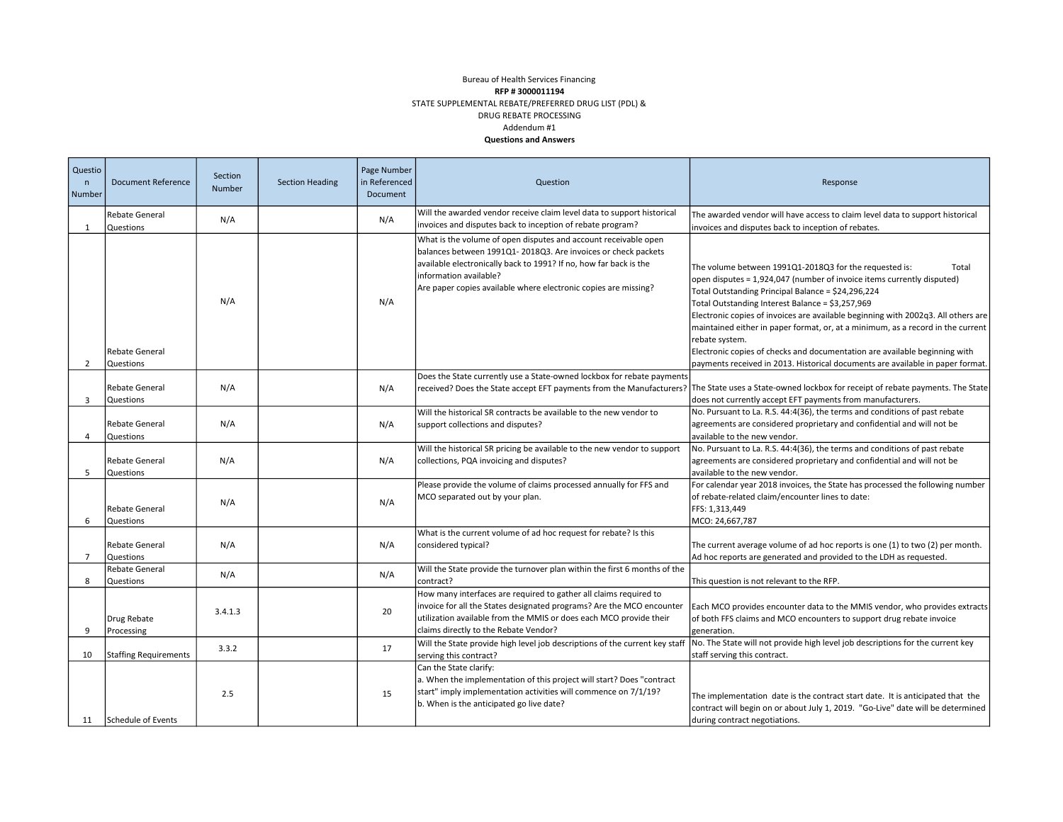## Addendum #1 Questions and Answers Bureau of Health Services Financing RFP # 3000011194 STATE SUPPLEMENTAL REBATE/PREFERRED DRUG LIST (PDL) & DRUG REBATE PROCESSING

| Questio<br>$\mathsf{n}$<br>Number | <b>Document Reference</b>                 | Section<br>Number | <b>Section Heading</b> | Page Number<br>in Referenced<br>Document | Question                                                                                                                                                                                                                                                                                           | Response                                                                                                                                                                                                                                                                                                                                                                                                                                                                                                                                                                                                      |
|-----------------------------------|-------------------------------------------|-------------------|------------------------|------------------------------------------|----------------------------------------------------------------------------------------------------------------------------------------------------------------------------------------------------------------------------------------------------------------------------------------------------|---------------------------------------------------------------------------------------------------------------------------------------------------------------------------------------------------------------------------------------------------------------------------------------------------------------------------------------------------------------------------------------------------------------------------------------------------------------------------------------------------------------------------------------------------------------------------------------------------------------|
| $\mathbf{1}$                      | <b>Rebate General</b><br>Questions        | N/A               |                        | N/A                                      | Will the awarded vendor receive claim level data to support historical<br>invoices and disputes back to inception of rebate program?                                                                                                                                                               | The awarded vendor will have access to claim level data to support historical<br>invoices and disputes back to inception of rebates.                                                                                                                                                                                                                                                                                                                                                                                                                                                                          |
| $\overline{2}$                    | <b>Rebate General</b><br><b>Questions</b> | N/A               |                        | N/A                                      | What is the volume of open disputes and account receivable open<br>balances between 1991Q1-2018Q3. Are invoices or check packets<br>available electronically back to 1991? If no, how far back is the<br>information available?<br>Are paper copies available where electronic copies are missing? | The volume between 1991Q1-2018Q3 for the requested is:<br>Total<br>open disputes = 1,924,047 (number of invoice items currently disputed)<br>Total Outstanding Principal Balance = \$24,296,224<br>Total Outstanding Interest Balance = \$3,257,969<br>Electronic copies of invoices are available beginning with 2002q3. All others are<br>maintained either in paper format, or, at a minimum, as a record in the current<br>rebate system.<br>Electronic copies of checks and documentation are available beginning with<br>payments received in 2013. Historical documents are available in paper format. |
| 3                                 | Rebate General<br><b>Questions</b>        | N/A               |                        | N/A                                      | Does the State currently use a State-owned lockbox for rebate payments                                                                                                                                                                                                                             | received? Does the State accept EFT payments from the Manufacturers? The State uses a State-owned lockbox for receipt of rebate payments. The State<br>does not currently accept EFT payments from manufacturers.                                                                                                                                                                                                                                                                                                                                                                                             |
| 4                                 | <b>Rebate General</b><br>Questions        | N/A               |                        | N/A                                      | Will the historical SR contracts be available to the new vendor to<br>support collections and disputes?                                                                                                                                                                                            | No. Pursuant to La. R.S. 44:4(36), the terms and conditions of past rebate<br>agreements are considered proprietary and confidential and will not be<br>available to the new vendor.                                                                                                                                                                                                                                                                                                                                                                                                                          |
| 5                                 | <b>Rebate General</b><br>Questions        | N/A               |                        | N/A                                      | Will the historical SR pricing be available to the new vendor to support<br>collections, PQA invoicing and disputes?                                                                                                                                                                               | No. Pursuant to La. R.S. 44:4(36), the terms and conditions of past rebate<br>agreements are considered proprietary and confidential and will not be<br>available to the new vendor.                                                                                                                                                                                                                                                                                                                                                                                                                          |
| 6                                 | <b>Rebate General</b><br><b>Questions</b> | N/A               |                        | N/A                                      | Please provide the volume of claims processed annually for FFS and<br>MCO separated out by your plan.                                                                                                                                                                                              | For calendar year 2018 invoices, the State has processed the following number<br>of rebate-related claim/encounter lines to date:<br>FFS: 1,313,449<br>MCO: 24,667,787                                                                                                                                                                                                                                                                                                                                                                                                                                        |
| $\overline{7}$                    | <b>Rebate General</b><br><b>Questions</b> | N/A               |                        | N/A                                      | What is the current volume of ad hoc request for rebate? Is this<br>considered typical?                                                                                                                                                                                                            | The current average volume of ad hoc reports is one (1) to two (2) per month.<br>Ad hoc reports are generated and provided to the LDH as requested.                                                                                                                                                                                                                                                                                                                                                                                                                                                           |
| 8                                 | <b>Rebate General</b><br>Questions        | N/A               |                        | N/A                                      | Will the State provide the turnover plan within the first 6 months of the<br>contract?                                                                                                                                                                                                             | This question is not relevant to the RFP.                                                                                                                                                                                                                                                                                                                                                                                                                                                                                                                                                                     |
| 9                                 | Drug Rebate<br>Processing                 | 3.4.1.3           |                        | 20                                       | How many interfaces are required to gather all claims required to<br>invoice for all the States designated programs? Are the MCO encounter<br>utilization available from the MMIS or does each MCO provide their<br>claims directly to the Rebate Vendor?                                          | Each MCO provides encounter data to the MMIS vendor, who provides extracts<br>of both FFS claims and MCO encounters to support drug rebate invoice<br>generation.                                                                                                                                                                                                                                                                                                                                                                                                                                             |
| 10                                | <b>Staffing Requirements</b>              | 3.3.2             |                        | 17                                       | Will the State provide high level job descriptions of the current key staff<br>serving this contract?                                                                                                                                                                                              | No. The State will not provide high level job descriptions for the current key<br>staff serving this contract.                                                                                                                                                                                                                                                                                                                                                                                                                                                                                                |
|                                   | 11 Schedule of Events                     | 2.5               |                        | 15                                       | Can the State clarify:<br>a. When the implementation of this project will start? Does "contract<br>start" imply implementation activities will commence on 7/1/19?<br>b. When is the anticipated go live date?                                                                                     | The implementation date is the contract start date. It is anticipated that the<br>contract will begin on or about July 1, 2019. "Go-Live" date will be determined<br>during contract negotiations.                                                                                                                                                                                                                                                                                                                                                                                                            |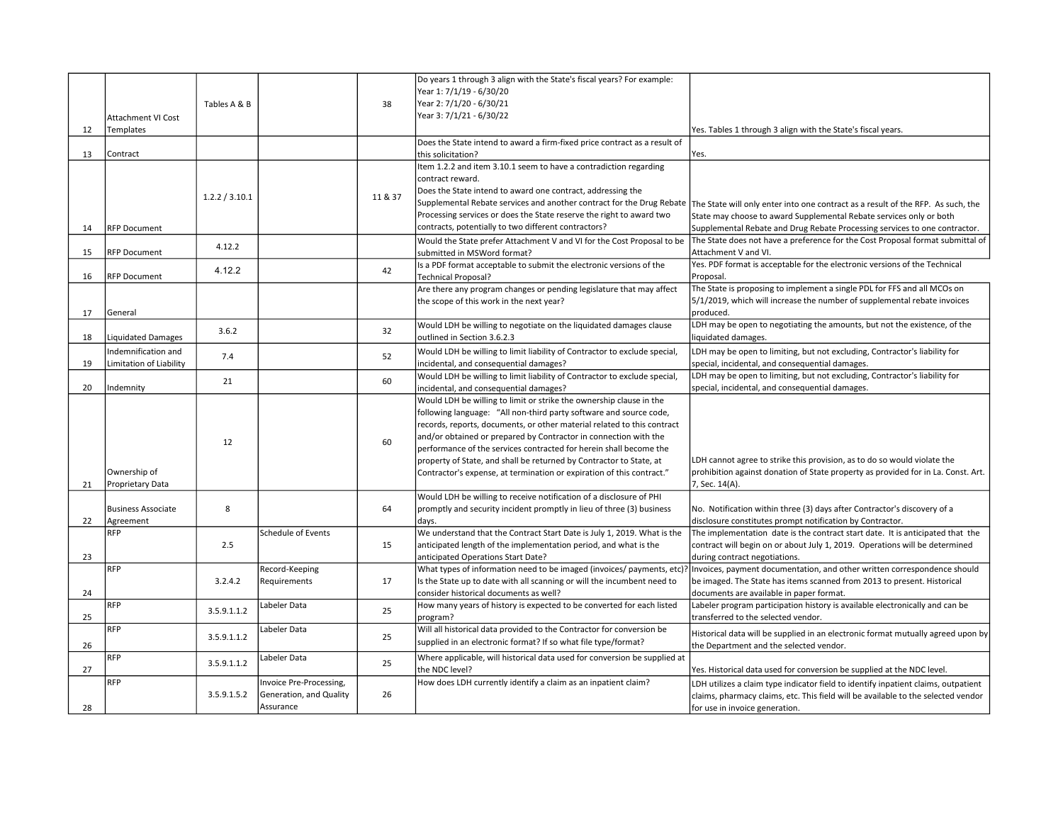|    |                                                | Tables A & B   |                         | 38      | Do years 1 through 3 align with the State's fiscal years? For example:<br>Year 1: 7/1/19 - 6/30/20<br>Year 2: 7/1/20 - 6/30/21       |                                                                                                                                                               |
|----|------------------------------------------------|----------------|-------------------------|---------|--------------------------------------------------------------------------------------------------------------------------------------|---------------------------------------------------------------------------------------------------------------------------------------------------------------|
|    | Attachment VI Cost                             |                |                         |         | Year 3: 7/1/21 - 6/30/22                                                                                                             |                                                                                                                                                               |
| 12 | Templates                                      |                |                         |         |                                                                                                                                      | Yes. Tables 1 through 3 align with the State's fiscal years.                                                                                                  |
|    |                                                |                |                         |         | Does the State intend to award a firm-fixed price contract as a result of                                                            |                                                                                                                                                               |
| 13 | Contract                                       |                |                         |         | this solicitation?                                                                                                                   | Yes.                                                                                                                                                          |
|    |                                                |                |                         |         | Item 1.2.2 and item 3.10.1 seem to have a contradiction regarding                                                                    |                                                                                                                                                               |
|    |                                                |                |                         |         | contract reward.                                                                                                                     |                                                                                                                                                               |
|    |                                                | 1.2.2 / 3.10.1 |                         | 11 & 37 | Does the State intend to award one contract, addressing the<br>Supplemental Rebate services and another contract for the Drug Rebate |                                                                                                                                                               |
|    |                                                |                |                         |         | Processing services or does the State reserve the right to award two                                                                 | The State will only enter into one contract as a result of the RFP. As such, the<br>State may choose to award Supplemental Rebate services only or both       |
| 14 | <b>RFP Document</b>                            |                |                         |         | contracts, potentially to two different contractors?                                                                                 | Supplemental Rebate and Drug Rebate Processing services to one contractor.                                                                                    |
|    |                                                |                |                         |         | Would the State prefer Attachment V and VI for the Cost Proposal to be                                                               | The State does not have a preference for the Cost Proposal format submittal of                                                                                |
| 15 | <b>RFP Document</b>                            | 4.12.2         |                         |         | submitted in MSWord format?                                                                                                          | Attachment V and VI.                                                                                                                                          |
|    |                                                | 4.12.2         |                         | 42      | Is a PDF format acceptable to submit the electronic versions of the                                                                  | Yes. PDF format is acceptable for the electronic versions of the Technical                                                                                    |
| 16 | <b>RFP Document</b>                            |                |                         |         | <b>Technical Proposal?</b>                                                                                                           | Proposal.                                                                                                                                                     |
|    |                                                |                |                         |         | Are there any program changes or pending legislature that may affect                                                                 | The State is proposing to implement a single PDL for FFS and all MCOs on                                                                                      |
|    |                                                |                |                         |         | the scope of this work in the next year?                                                                                             | 5/1/2019, which will increase the number of supplemental rebate invoices                                                                                      |
| 17 | General                                        |                |                         |         |                                                                                                                                      | produced.                                                                                                                                                     |
| 18 |                                                | 3.6.2          |                         | 32      | Would LDH be willing to negotiate on the liquidated damages clause<br>outlined in Section 3.6.2.3                                    | LDH may be open to negotiating the amounts, but not the existence, of the                                                                                     |
|    | <b>Liquidated Damages</b>                      |                |                         |         |                                                                                                                                      | liquidated damages.                                                                                                                                           |
| 19 | Indemnification and<br>Limitation of Liability | 7.4            |                         | 52      | Would LDH be willing to limit liability of Contractor to exclude special,<br>incidental, and consequential damages?                  | LDH may be open to limiting, but not excluding, Contractor's liability for<br>special, incidental, and consequential damages.                                 |
|    |                                                |                |                         |         | Would LDH be willing to limit liability of Contractor to exclude special,                                                            | LDH may be open to limiting, but not excluding, Contractor's liability for                                                                                    |
| 20 | Indemnity                                      | 21             |                         | 60      | incidental, and consequential damages?                                                                                               | special, incidental, and consequential damages.                                                                                                               |
|    |                                                |                |                         |         | Would LDH be willing to limit or strike the ownership clause in the                                                                  |                                                                                                                                                               |
|    |                                                |                |                         |         | following language: "All non-third party software and source code,                                                                   |                                                                                                                                                               |
|    |                                                |                |                         |         | records, reports, documents, or other material related to this contract                                                              |                                                                                                                                                               |
|    |                                                | 12             |                         | 60      | and/or obtained or prepared by Contractor in connection with the                                                                     |                                                                                                                                                               |
|    |                                                |                |                         |         | performance of the services contracted for herein shall become the                                                                   |                                                                                                                                                               |
|    | Ownership of                                   |                |                         |         | property of State, and shall be returned by Contractor to State, at                                                                  | LDH cannot agree to strike this provision, as to do so would violate the<br>prohibition against donation of State property as provided for in La. Const. Art. |
| 21 | Proprietary Data                               |                |                         |         | Contractor's expense, at termination or expiration of this contract."                                                                | 7, Sec. 14(A).                                                                                                                                                |
|    |                                                |                |                         |         | Would LDH be willing to receive notification of a disclosure of PHI                                                                  |                                                                                                                                                               |
|    | <b>Business Associate</b>                      | 8              |                         | 64      | promptly and security incident promptly in lieu of three (3) business                                                                | No. Notification within three (3) days after Contractor's discovery of a                                                                                      |
| 22 | Agreement                                      |                |                         |         | days.                                                                                                                                | disclosure constitutes prompt notification by Contractor.                                                                                                     |
|    | <b>RFP</b>                                     |                | Schedule of Events      |         | We understand that the Contract Start Date is July 1, 2019. What is the                                                              | The implementation date is the contract start date. It is anticipated that the                                                                                |
|    |                                                | 2.5            |                         | 15      | anticipated length of the implementation period, and what is the                                                                     | contract will begin on or about July 1, 2019. Operations will be determined                                                                                   |
| 23 |                                                |                |                         |         | anticipated Operations Start Date?                                                                                                   | during contract negotiations.                                                                                                                                 |
|    | <b>RFP</b>                                     |                | Record-Keeping          |         | What types of information need to be imaged (invoices/ payments, etc)                                                                | Invoices, payment documentation, and other written correspondence should                                                                                      |
| 24 |                                                | 3.2.4.2        | Requirements            | 17      | Is the State up to date with all scanning or will the incumbent need to<br>consider historical documents as well?                    | be imaged. The State has items scanned from 2013 to present. Historical<br>documents are available in paper format.                                           |
|    | <b>RFP</b>                                     |                | Labeler Data            |         | How many years of history is expected to be converted for each listed                                                                | Labeler program participation history is available electronically and can be                                                                                  |
| 25 |                                                | 3.5.9.1.1.2    |                         | 25      | program?                                                                                                                             | transferred to the selected vendor.                                                                                                                           |
|    | <b>RFP</b>                                     |                | Labeler Data            |         | Will all historical data provided to the Contractor for conversion be                                                                | Historical data will be supplied in an electronic format mutually agreed upon by                                                                              |
| 26 |                                                | 3.5.9.1.1.2    |                         | 25      | supplied in an electronic format? If so what file type/format?                                                                       | the Department and the selected vendor.                                                                                                                       |
|    | <b>RFP</b>                                     |                | Labeler Data            |         | Where applicable, will historical data used for conversion be supplied at                                                            |                                                                                                                                                               |
| 27 |                                                | 3.5.9.1.1.2    |                         | 25      | the NDC level?                                                                                                                       | Yes. Historical data used for conversion be supplied at the NDC level.                                                                                        |
|    | RFP                                            |                | Invoice Pre-Processing, |         | How does LDH currently identify a claim as an inpatient claim?                                                                       | LDH utilizes a claim type indicator field to identify inpatient claims, outpatient                                                                            |
|    |                                                | 3.5.9.1.5.2    | Generation, and Quality | 26      |                                                                                                                                      | claims, pharmacy claims, etc. This field will be available to the selected vendor                                                                             |
| 28 |                                                |                | Assurance               |         |                                                                                                                                      | for use in invoice generation.                                                                                                                                |